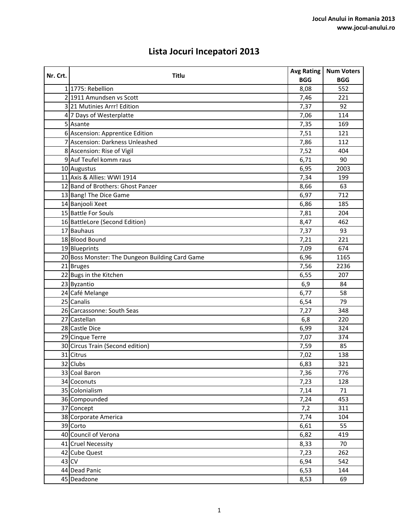## **Lista Jocuri Incepatori 2013**

| Nr. Crt. | Titlu                                           | <b>Avg Rating</b> | <b>Num Voters</b> |
|----------|-------------------------------------------------|-------------------|-------------------|
|          |                                                 | <b>BGG</b>        | <b>BGG</b>        |
|          | 1 1775: Rebellion                               | 8,08              | 552               |
|          | 2 1911 Amundsen vs Scott                        | 7,46              | 221               |
|          | 3 21 Mutinies Arrr! Edition                     | 7,37              | 92                |
|          | 4 7 Days of Westerplatte                        | 7,06              | 114               |
|          | 5 Asante                                        | 7,35              | 169               |
|          | 6 Ascension: Apprentice Edition                 | 7,51              | 121               |
|          | 7 Ascension: Darkness Unleashed                 | 7,86              | 112               |
|          | 8 Ascension: Rise of Vigil                      | 7,52              | 404               |
|          | 9 Auf Teufel komm raus                          | 6,71              | 90                |
|          | 10 Augustus                                     | 6,95              | 2003              |
|          | 11 Axis & Allies: WWI 1914                      | 7,34              | 199               |
|          | 12 Band of Brothers: Ghost Panzer               | 8,66              | 63                |
|          | 13 Bang! The Dice Game                          | 6,97              | 712               |
|          | 14 Banjooli Xeet                                | 6,86              | 185               |
|          | 15 Battle For Souls                             | 7,81              | 204               |
|          | 16 BattleLore (Second Edition)                  | 8,47              | 462               |
|          | 17 Bauhaus                                      | 7,37              | 93                |
|          | 18 Blood Bound                                  | 7,21              | 221               |
|          | 19 Blueprints                                   | 7,09              | 674               |
|          | 20 Boss Monster: The Dungeon Building Card Game | 6,96              | 1165              |
|          | 21 Bruges                                       | 7,56              | 2236              |
|          | 22 Bugs in the Kitchen                          | 6,55              | 207               |
|          | 23 Byzantio                                     | 6,9               | 84                |
|          | 24 Café Melange                                 | 6,77              | 58                |
|          | 25 Canalis                                      | 6,54              | 79                |
|          | 26 Carcassonne: South Seas                      | 7,27              | 348               |
|          | 27 Castellan                                    | 6,8               | 220               |
|          | 28 Castle Dice                                  | 6,99              | 324               |
|          | 29 Cinque Terre                                 | 7,07              | 374               |
|          | 30 Circus Train (Second edition)                | 7,59              | 85                |
|          | 31 Citrus                                       | 7,02              | 138               |
|          | 32 Clubs                                        | 6,83              | 321               |
|          | 33 Coal Baron                                   | 7,36              | 776               |
|          | 34 Coconuts                                     | 7,23              | 128               |
|          | 35 Colonialism                                  | 7,14              | 71                |
|          | 36 Compounded                                   | 7,24              | 453               |
|          | 37 Concept                                      | 7,2               | 311               |
|          | 38 Corporate America                            | 7,74              | 104               |
|          | 39 Corto                                        | 6,61              | 55                |
|          | 40 Council of Verona                            | 6,82              | 419               |
|          | 41 Cruel Necessity                              | 8,33              | 70                |
|          | 42 Cube Quest                                   | 7,23              | 262               |
|          | 43 CV                                           | 6,94              | 542               |
|          | 44 Dead Panic                                   | 6,53              | 144               |
|          | 45 Deadzone                                     | 8,53              | 69                |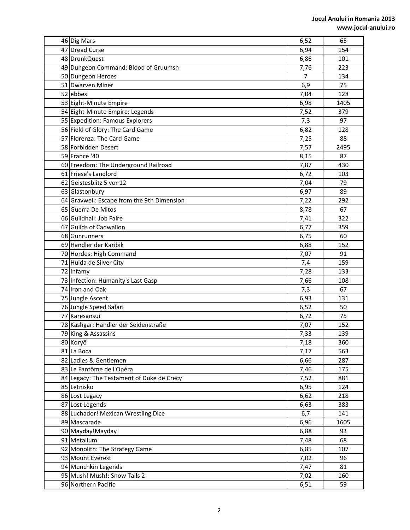| 46 Dig Mars                                | 6,52           | 65   |
|--------------------------------------------|----------------|------|
| 47 Dread Curse                             | 6,94           | 154  |
| 48 DrunkQuest                              | 6,86           | 101  |
| 49 Dungeon Command: Blood of Gruumsh       | 7,76           | 223  |
| 50 Dungeon Heroes                          | $\overline{7}$ | 134  |
| 51 Dwarven Miner                           | 6,9            | 75   |
| 52 ebbes                                   | 7,04           | 128  |
| 53 Eight-Minute Empire                     | 6,98           | 1405 |
| 54 Eight-Minute Empire: Legends            | 7,52           | 379  |
| 55 Expedition: Famous Explorers            | 7,3            | 97   |
| 56 Field of Glory: The Card Game           | 6,82           | 128  |
| 57 Florenza: The Card Game                 | 7,25           | 88   |
| 58 Forbidden Desert                        | 7,57           | 2495 |
| 59 France '40                              | 8,15           | 87   |
| 60 Freedom: The Underground Railroad       | 7,87           | 430  |
| 61 Friese's Landlord                       | 6,72           | 103  |
| 62 Geistesblitz 5 vor 12                   | 7,04           | 79   |
| 63 Glastonbury                             | 6,97           | 89   |
| 64 Gravwell: Escape from the 9th Dimension | 7,22           | 292  |
| 65 Guerra De Mitos                         | 8,78           | 67   |
| 66 Guildhall: Job Faire                    | 7,41           | 322  |
| 67 Guilds of Cadwallon                     | 6,77           | 359  |
| 68 Gunrunners                              | 6,75           | 60   |
| 69 Händler der Karibik                     | 6,88           | 152  |
| 70 Hordes: High Command                    | 7,07           | 91   |
| 71 Huida de Silver City                    | 7,4            | 159  |
| 72 Infamy                                  | 7,28           | 133  |
| 73 Infection: Humanity's Last Gasp         | 7,66           | 108  |
| 74 Iron and Oak                            | 7,3            | 67   |
| 75 Jungle Ascent                           | 6,93           | 131  |
| 76 Jungle Speed Safari                     | 6,52           | 50   |
| 77 Karesansui                              | 6,72           | 75   |
| 78 Kashgar: Händler der Seidenstraße       | 7,07           | 152  |
| 79 King & Assassins                        | 7,33           | 139  |
| 80 Koryŏ                                   | 7,18           | 360  |
| 81 La Boca                                 | 7,17           | 563  |
| 82 Ladies & Gentlemen                      | 6,66           | 287  |
| 83 Le Fantôme de l'Opéra                   | 7,46           | 175  |
| 84 Legacy: The Testament of Duke de Crecy  | 7,52           | 881  |
| 85 Letnisko                                | 6,95           | 124  |
| 86 Lost Legacy                             | 6,62           | 218  |
| 87 Lost Legends                            | 6,63           | 383  |
| 88 Luchador! Mexican Wrestling Dice        | 6,7            | 141  |
| 89 Mascarade                               | 6,96           | 1605 |
| 90 Mayday!Mayday!                          | 6,88           | 93   |
| 91 Metallum                                | 7,48           | 68   |
| 92 Monolith: The Strategy Game             | 6,85           | 107  |
| 93 Mount Everest                           | 7,02           | 96   |
| 94 Munchkin Legends                        | 7,47           | 81   |
| 95 Mush! Mush!: Snow Tails 2               | 7,02           | 160  |
| 96 Northern Pacific                        | 6,51           | 59   |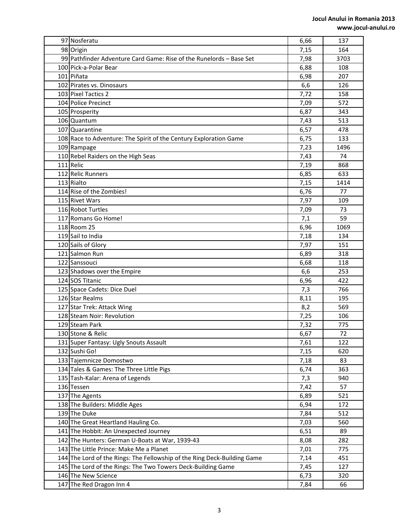| 97 Nosferatu                                                             | 6,66 | 137  |
|--------------------------------------------------------------------------|------|------|
| 98 Origin                                                                | 7,15 | 164  |
| 99 Pathfinder Adventure Card Game: Rise of the Runelords - Base Set      | 7,98 | 3703 |
| 100 Pick-a-Polar Bear                                                    | 6,88 | 108  |
| 101 Piñata                                                               | 6,98 | 207  |
| 102 Pirates vs. Dinosaurs                                                | 6,6  | 126  |
| 103 Pixel Tactics 2                                                      | 7,72 | 158  |
| 104 Police Precinct                                                      | 7,09 | 572  |
| 105 Prosperity                                                           | 6,87 | 343  |
| 106 Quantum                                                              | 7,43 | 513  |
| 107 Quarantine                                                           | 6,57 | 478  |
| 108 Race to Adventure: The Spirit of the Century Exploration Game        | 6,75 | 133  |
| 109 Rampage                                                              | 7,23 | 1496 |
| 110 Rebel Raiders on the High Seas                                       | 7,43 | 74   |
| 111 Relic                                                                | 7,19 | 868  |
| 112 Relic Runners                                                        | 6,85 | 633  |
| 113 Rialto                                                               | 7,15 | 1414 |
| 114 Rise of the Zombies!                                                 | 6,76 | 77   |
| 115 Rivet Wars                                                           | 7,97 | 109  |
| 116 Robot Turtles                                                        | 7,09 | 73   |
| 117 Romans Go Home!                                                      | 7,1  | 59   |
| 118 Room 25                                                              | 6,96 | 1069 |
| 119 Sail to India                                                        | 7,18 | 134  |
| 120 Sails of Glory                                                       | 7,97 | 151  |
| 121 Salmon Run                                                           | 6,89 | 318  |
| 122 Sanssouci                                                            | 6,68 | 118  |
| 123 Shadows over the Empire                                              | 6,6  | 253  |
| 124 SOS Titanic                                                          | 6,96 | 422  |
| 125 Space Cadets: Dice Duel                                              | 7,3  | 766  |
| 126 Star Realms                                                          | 8,11 | 195  |
| 127 Star Trek: Attack Wing                                               | 8,2  | 569  |
| 128 Steam Noir: Revolution                                               | 7,25 | 106  |
| 129 Steam Park                                                           | 7,32 | 775  |
| 130 Stone & Relic                                                        | 6,67 | 72   |
| 131 Super Fantasy: Ugly Snouts Assault                                   | 7,61 | 122  |
| 132 Sushi Go!                                                            | 7,15 | 620  |
| 133 Tajemnicze Domostwo                                                  | 7,18 | 83   |
| 134 Tales & Games: The Three Little Pigs                                 | 6,74 | 363  |
| 135 Tash-Kalar: Arena of Legends                                         | 7,3  | 940  |
| 136 Tessen                                                               | 7,42 | 57   |
| 137 The Agents                                                           | 6,89 | 521  |
| 138 The Builders: Middle Ages                                            | 6,94 | 172  |
| 139 The Duke                                                             | 7,84 | 512  |
| 140 The Great Heartland Hauling Co.                                      | 7,03 | 560  |
| 141 The Hobbit: An Unexpected Journey                                    | 6,51 | 89   |
| 142 The Hunters: German U-Boats at War, 1939-43                          | 8,08 | 282  |
| 143 The Little Prince: Make Me a Planet                                  | 7,01 | 775  |
| 144 The Lord of the Rings: The Fellowship of the Ring Deck-Building Game | 7,14 | 451  |
| 145 The Lord of the Rings: The Two Towers Deck-Building Game             | 7,45 | 127  |
| 146 The New Science                                                      | 6,73 | 320  |
| 147 The Red Dragon Inn 4                                                 | 7,84 | 66   |
|                                                                          |      |      |